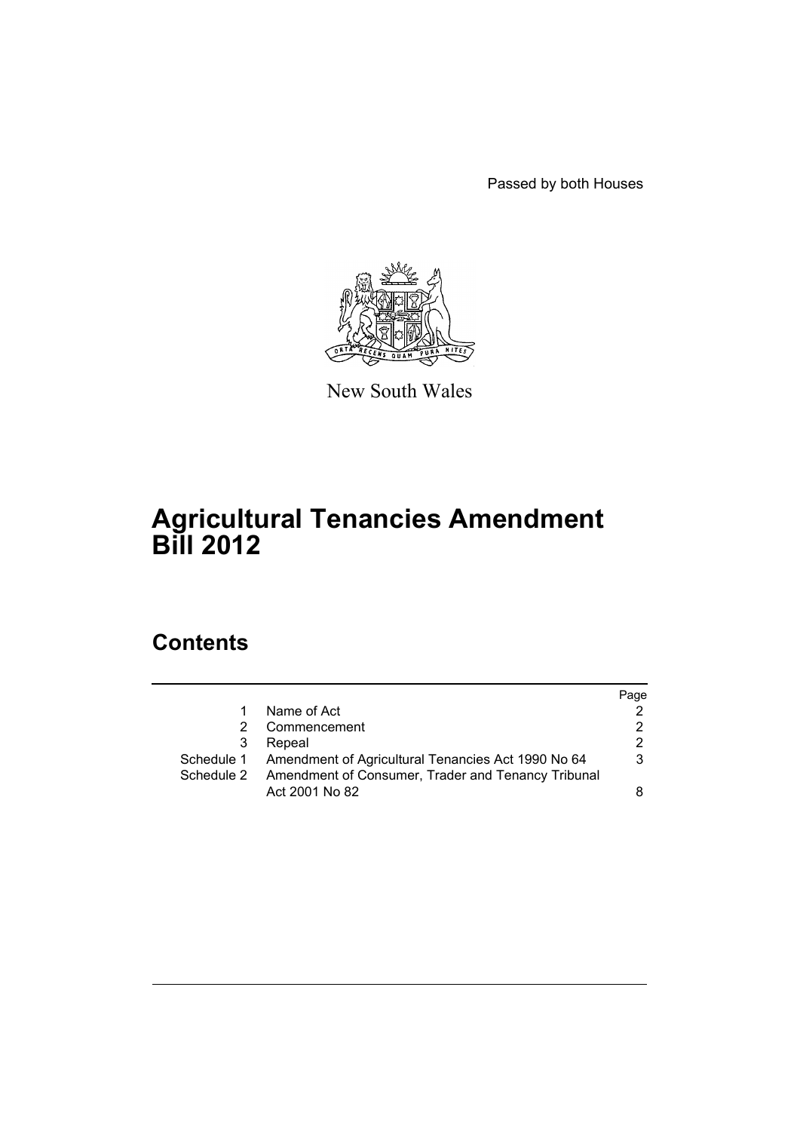Passed by both Houses



New South Wales

# **Agricultural Tenancies Amendment Bill 2012**

# **Contents**

|            |                                                               | Page |
|------------|---------------------------------------------------------------|------|
| 1          | Name of Act                                                   |      |
| 2.         | Commencement                                                  |      |
| 3          | Repeal                                                        |      |
|            | Schedule 1 Amendment of Agricultural Tenancies Act 1990 No 64 | 3    |
| Schedule 2 | Amendment of Consumer, Trader and Tenancy Tribunal            |      |
|            | Act 2001 No 82                                                |      |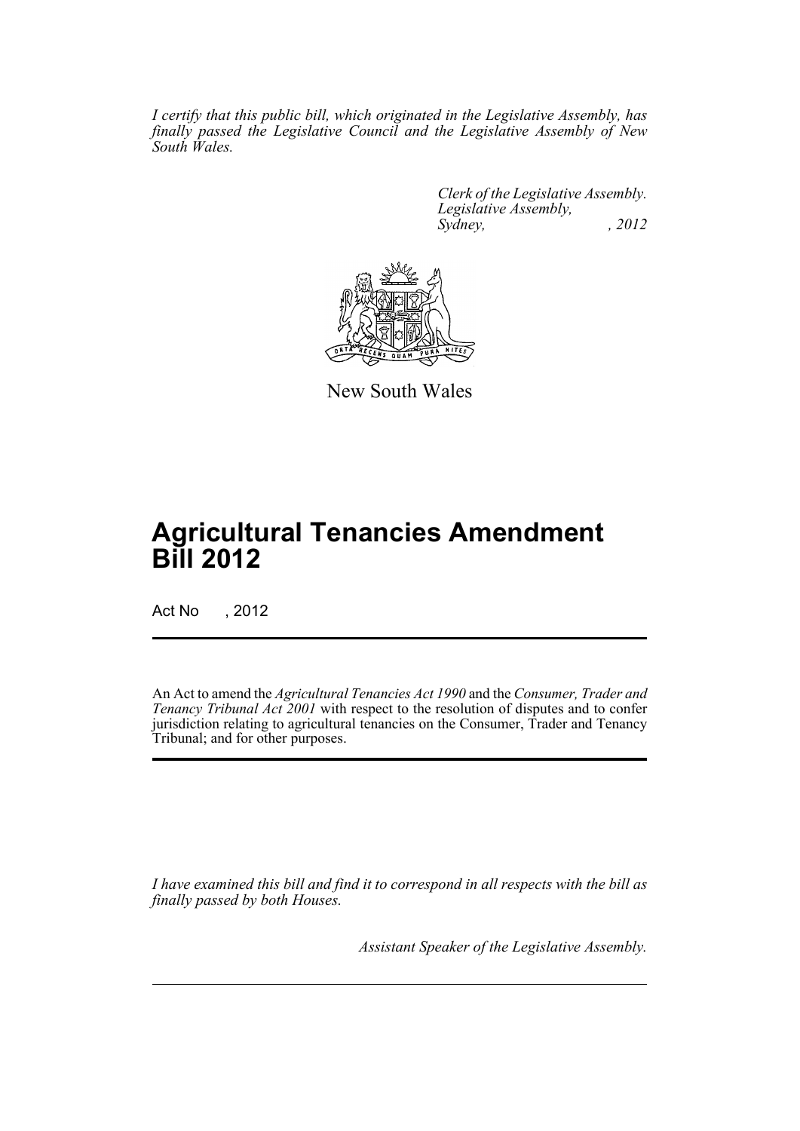*I certify that this public bill, which originated in the Legislative Assembly, has finally passed the Legislative Council and the Legislative Assembly of New South Wales.*

> *Clerk of the Legislative Assembly. Legislative Assembly, Sydney, , 2012*



New South Wales

# **Agricultural Tenancies Amendment Bill 2012**

Act No , 2012

An Act to amend the *Agricultural Tenancies Act 1990* and the *Consumer, Trader and Tenancy Tribunal Act 2001* with respect to the resolution of disputes and to confer jurisdiction relating to agricultural tenancies on the Consumer, Trader and Tenancy Tribunal; and for other purposes.

*I have examined this bill and find it to correspond in all respects with the bill as finally passed by both Houses.*

*Assistant Speaker of the Legislative Assembly.*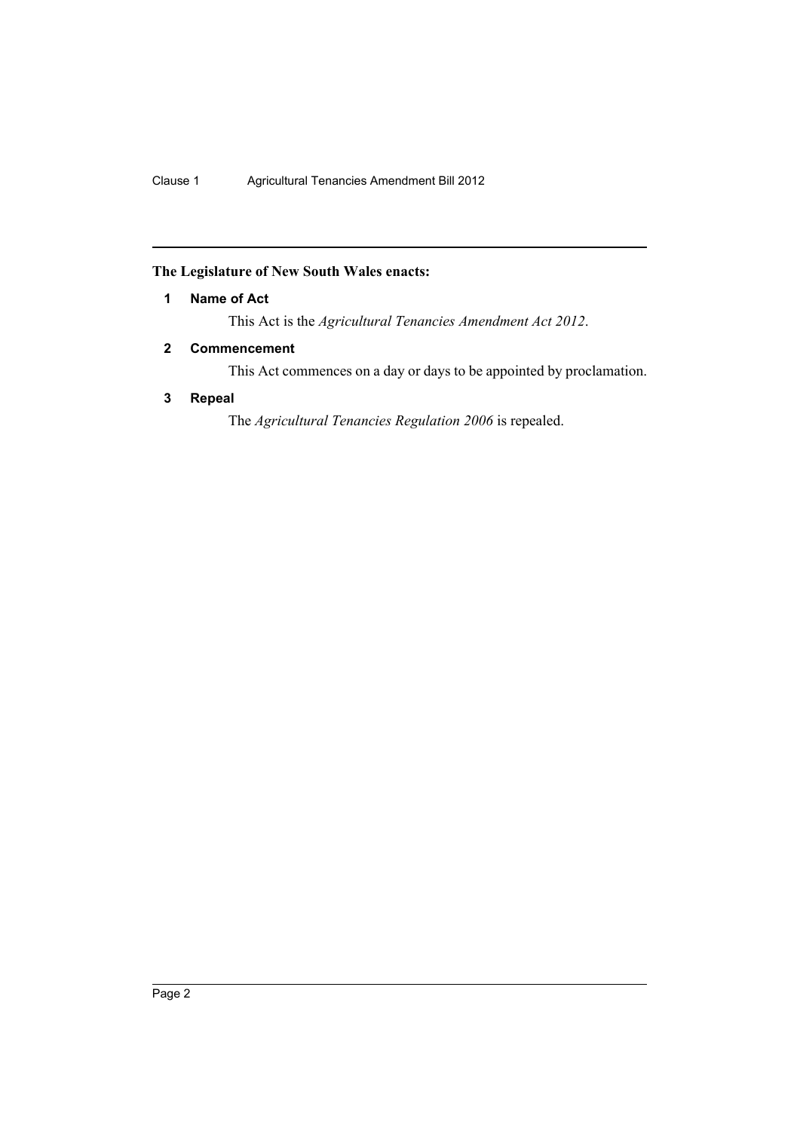## <span id="page-3-0"></span>**The Legislature of New South Wales enacts:**

## **1 Name of Act**

This Act is the *Agricultural Tenancies Amendment Act 2012*.

## <span id="page-3-1"></span>**2 Commencement**

This Act commences on a day or days to be appointed by proclamation.

## <span id="page-3-2"></span>**3 Repeal**

The *Agricultural Tenancies Regulation 2006* is repealed.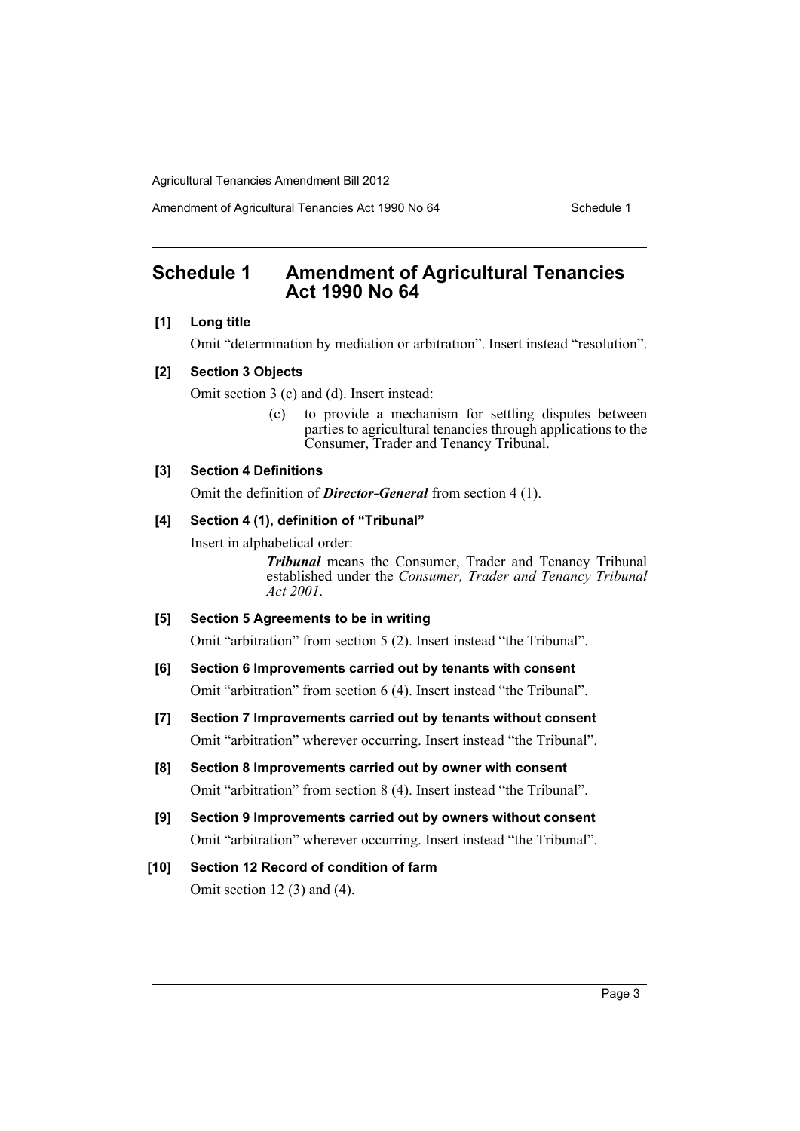Amendment of Agricultural Tenancies Act 1990 No 64 Schedule 1

## <span id="page-4-0"></span>**Schedule 1 Amendment of Agricultural Tenancies Act 1990 No 64**

## **[1] Long title**

Omit "determination by mediation or arbitration". Insert instead "resolution".

#### **[2] Section 3 Objects**

Omit section 3 (c) and (d). Insert instead:

(c) to provide a mechanism for settling disputes between parties to agricultural tenancies through applications to the Consumer, Trader and Tenancy Tribunal.

## **[3] Section 4 Definitions**

Omit the definition of *Director-General* from section 4 (1).

## **[4] Section 4 (1), definition of "Tribunal"**

Insert in alphabetical order:

*Tribunal* means the Consumer, Trader and Tenancy Tribunal established under the *Consumer, Trader and Tenancy Tribunal Act 2001*.

### **[5] Section 5 Agreements to be in writing**

Omit "arbitration" from section 5 (2). Insert instead "the Tribunal".

- **[6] Section 6 Improvements carried out by tenants with consent** Omit "arbitration" from section 6 (4). Insert instead "the Tribunal".
- **[7] Section 7 Improvements carried out by tenants without consent** Omit "arbitration" wherever occurring. Insert instead "the Tribunal".
- **[8] Section 8 Improvements carried out by owner with consent** Omit "arbitration" from section 8 (4). Insert instead "the Tribunal".
- **[9] Section 9 Improvements carried out by owners without consent** Omit "arbitration" wherever occurring. Insert instead "the Tribunal".

## **[10] Section 12 Record of condition of farm** Omit section 12 (3) and (4).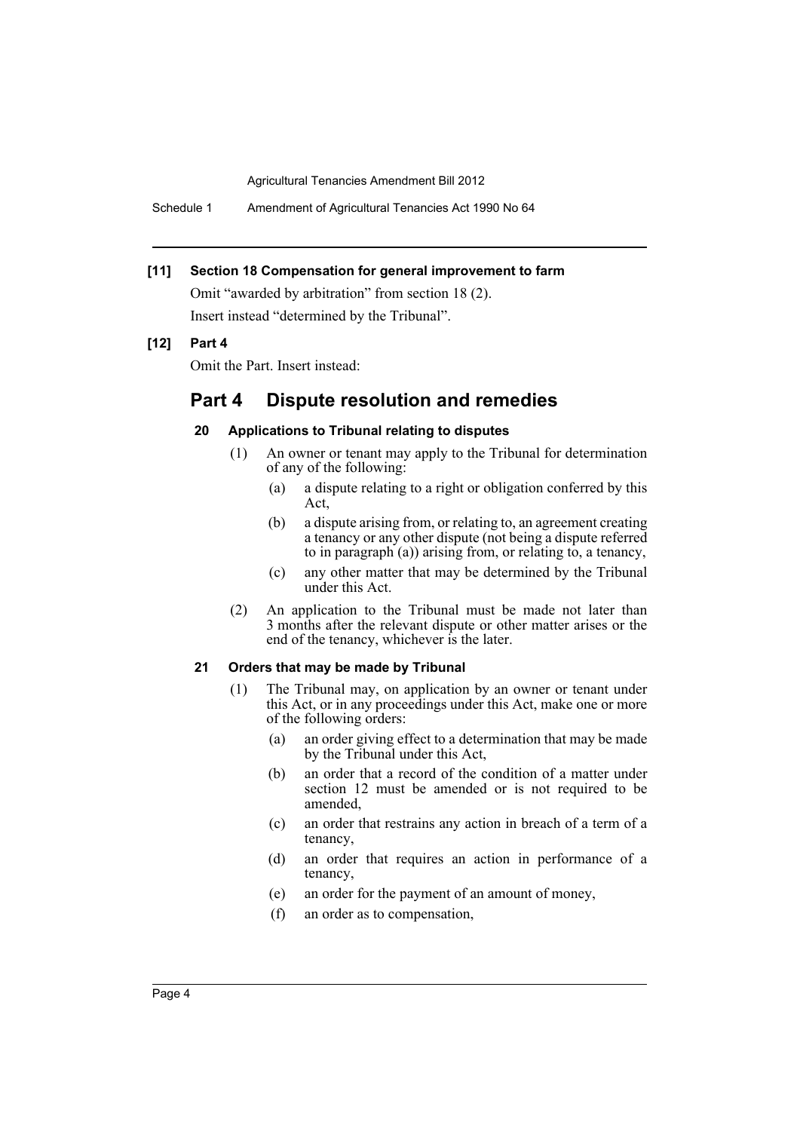Schedule 1 Amendment of Agricultural Tenancies Act 1990 No 64

## **[11] Section 18 Compensation for general improvement to farm**

Omit "awarded by arbitration" from section 18 (2). Insert instead "determined by the Tribunal".

## **[12] Part 4**

Omit the Part. Insert instead:

## **Part 4 Dispute resolution and remedies**

## **20 Applications to Tribunal relating to disputes**

- (1) An owner or tenant may apply to the Tribunal for determination of any of the following:
	- (a) a dispute relating to a right or obligation conferred by this Act,
	- (b) a dispute arising from, or relating to, an agreement creating a tenancy or any other dispute (not being a dispute referred to in paragraph (a)) arising from, or relating to, a tenancy,
	- (c) any other matter that may be determined by the Tribunal under this Act.
- (2) An application to the Tribunal must be made not later than 3 months after the relevant dispute or other matter arises or the end of the tenancy, whichever is the later.

#### **21 Orders that may be made by Tribunal**

- (1) The Tribunal may, on application by an owner or tenant under this Act, or in any proceedings under this Act, make one or more of the following orders:
	- (a) an order giving effect to a determination that may be made by the Tribunal under this Act,
	- (b) an order that a record of the condition of a matter under section 12 must be amended or is not required to be amended,
	- (c) an order that restrains any action in breach of a term of a tenancy,
	- (d) an order that requires an action in performance of a tenancy,
	- (e) an order for the payment of an amount of money,
	- (f) an order as to compensation,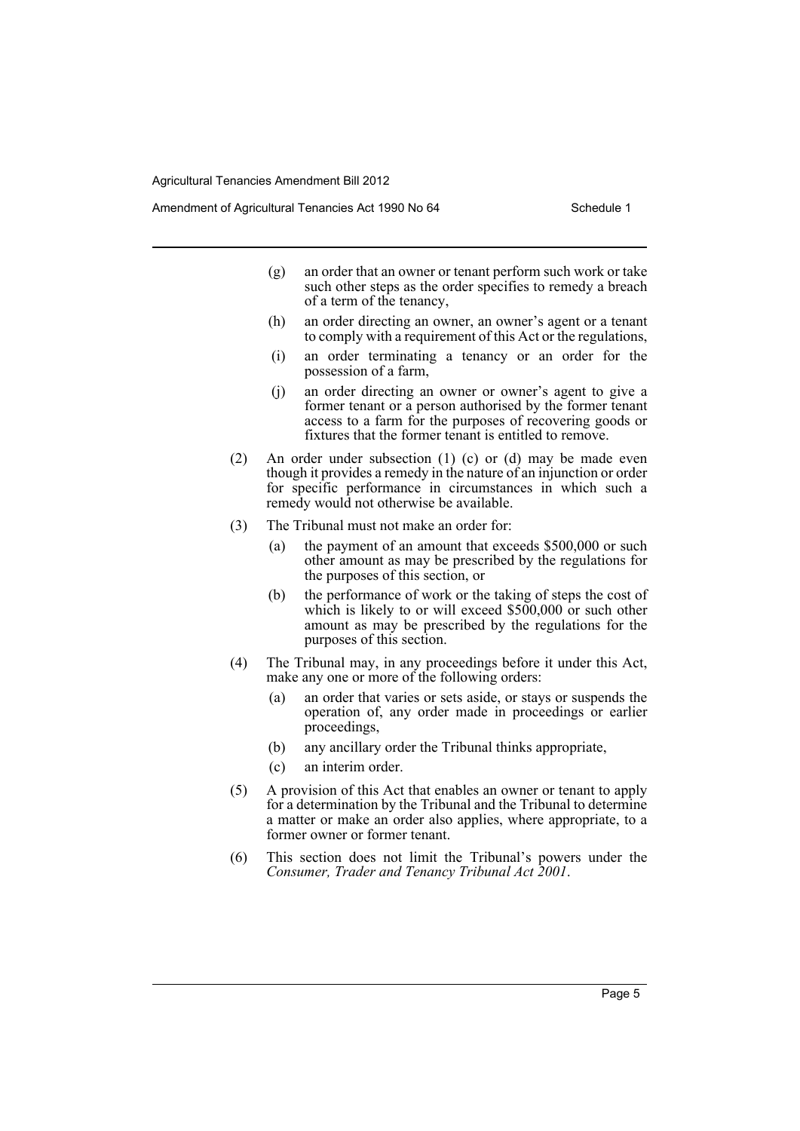Amendment of Agricultural Tenancies Act 1990 No 64 Schedule 1

- (g) an order that an owner or tenant perform such work or take such other steps as the order specifies to remedy a breach of a term of the tenancy,
- (h) an order directing an owner, an owner's agent or a tenant to comply with a requirement of this Act or the regulations,
- (i) an order terminating a tenancy or an order for the possession of a farm,
- (j) an order directing an owner or owner's agent to give a former tenant or a person authorised by the former tenant access to a farm for the purposes of recovering goods or fixtures that the former tenant is entitled to remove.
- (2) An order under subsection (1) (c) or (d) may be made even though it provides a remedy in the nature of an injunction or order for specific performance in circumstances in which such a remedy would not otherwise be available.
- (3) The Tribunal must not make an order for:
	- (a) the payment of an amount that exceeds \$500,000 or such other amount as may be prescribed by the regulations for the purposes of this section, or
	- (b) the performance of work or the taking of steps the cost of which is likely to or will exceed \$500,000 or such other amount as may be prescribed by the regulations for the purposes of this section.
- (4) The Tribunal may, in any proceedings before it under this Act, make any one or more of the following orders:
	- (a) an order that varies or sets aside, or stays or suspends the operation of, any order made in proceedings or earlier proceedings,
	- (b) any ancillary order the Tribunal thinks appropriate,
	- (c) an interim order.
- (5) A provision of this Act that enables an owner or tenant to apply for a determination by the Tribunal and the Tribunal to determine a matter or make an order also applies, where appropriate, to a former owner or former tenant.
- (6) This section does not limit the Tribunal's powers under the *Consumer, Trader and Tenancy Tribunal Act 2001*.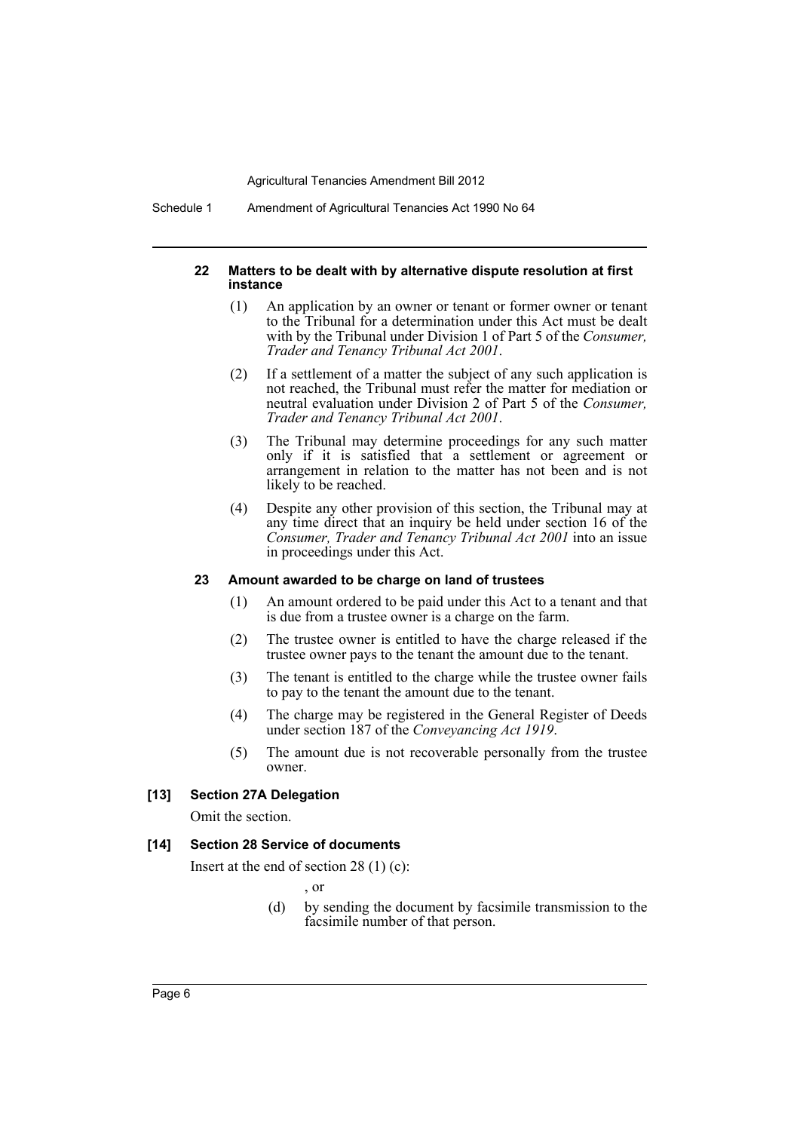Schedule 1 Amendment of Agricultural Tenancies Act 1990 No 64

#### **22 Matters to be dealt with by alternative dispute resolution at first instance**

- (1) An application by an owner or tenant or former owner or tenant to the Tribunal for a determination under this Act must be dealt with by the Tribunal under Division 1 of Part 5 of the *Consumer, Trader and Tenancy Tribunal Act 2001*.
- (2) If a settlement of a matter the subject of any such application is not reached, the Tribunal must refer the matter for mediation or neutral evaluation under Division 2 of Part 5 of the *Consumer, Trader and Tenancy Tribunal Act 2001*.
- (3) The Tribunal may determine proceedings for any such matter only if it is satisfied that a settlement or agreement or arrangement in relation to the matter has not been and is not likely to be reached.
- (4) Despite any other provision of this section, the Tribunal may at any time direct that an inquiry be held under section 16 of the *Consumer, Trader and Tenancy Tribunal Act 2001* into an issue in proceedings under this Act.

### **23 Amount awarded to be charge on land of trustees**

- (1) An amount ordered to be paid under this Act to a tenant and that is due from a trustee owner is a charge on the farm.
- (2) The trustee owner is entitled to have the charge released if the trustee owner pays to the tenant the amount due to the tenant.
- (3) The tenant is entitled to the charge while the trustee owner fails to pay to the tenant the amount due to the tenant.
- (4) The charge may be registered in the General Register of Deeds under section 187 of the *Conveyancing Act 1919*.
- (5) The amount due is not recoverable personally from the trustee owner.

### **[13] Section 27A Delegation**

Omit the section.

### **[14] Section 28 Service of documents**

Insert at the end of section 28 (1) (c):

, or

(d) by sending the document by facsimile transmission to the facsimile number of that person.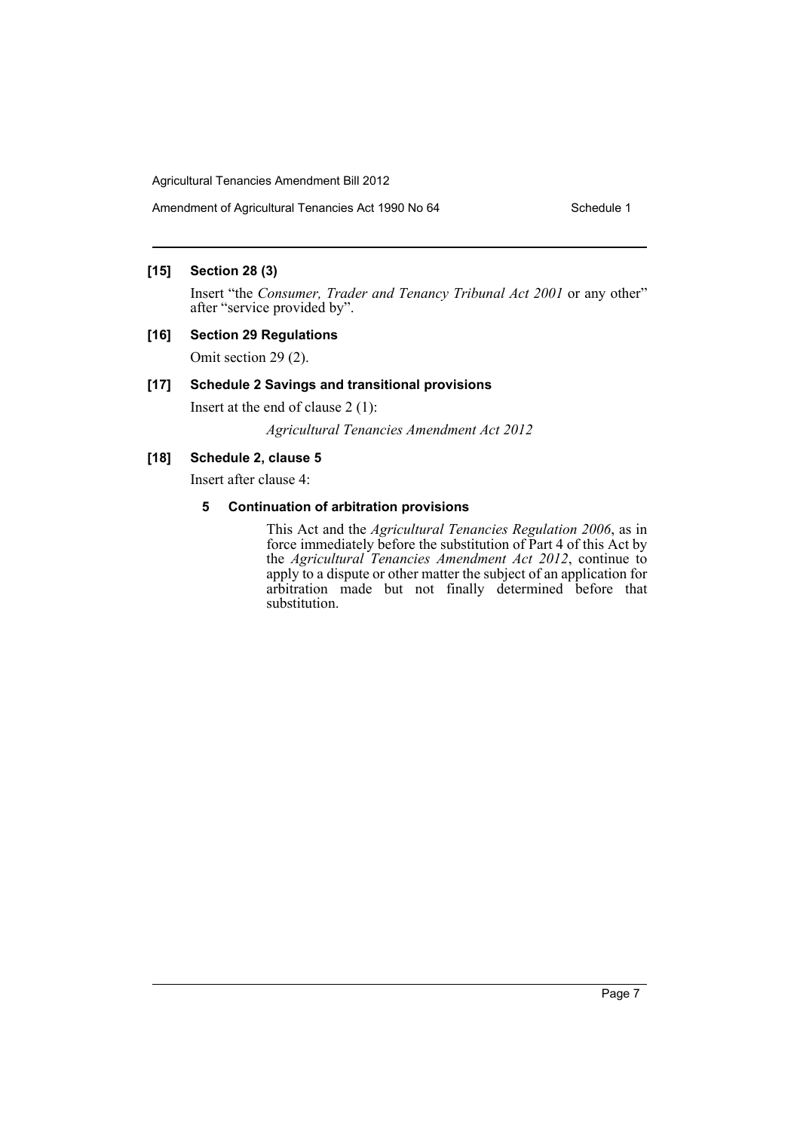## **[15] Section 28 (3)**

Insert "the *Consumer, Trader and Tenancy Tribunal Act 2001* or any other" after "service provided by".

## **[16] Section 29 Regulations**

Omit section 29 (2).

## **[17] Schedule 2 Savings and transitional provisions**

Insert at the end of clause 2 (1):

*Agricultural Tenancies Amendment Act 2012*

## **[18] Schedule 2, clause 5**

Insert after clause 4:

## **5 Continuation of arbitration provisions**

This Act and the *Agricultural Tenancies Regulation 2006*, as in force immediately before the substitution of Part 4 of this Act by the *Agricultural Tenancies Amendment Act 2012*, continue to apply to a dispute or other matter the subject of an application for arbitration made but not finally determined before that substitution.